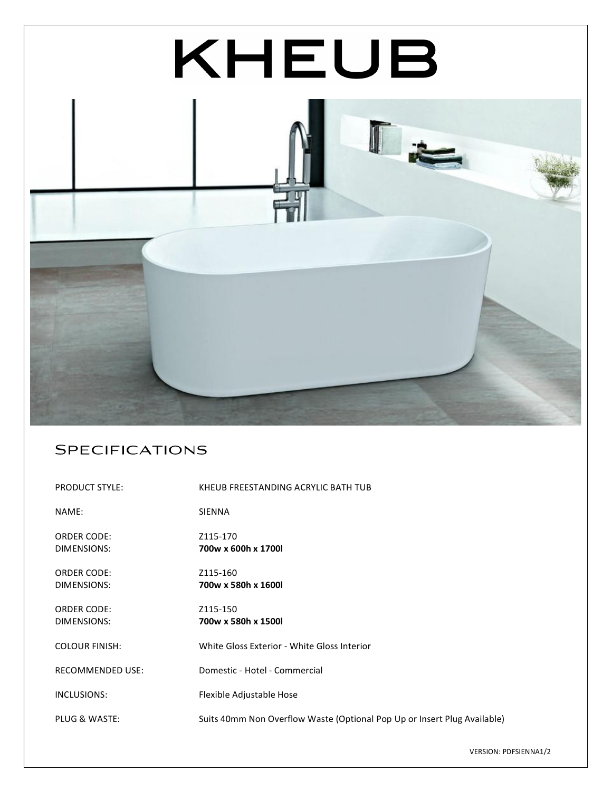

## **SPECIFICATIONS**

| PRODUCT STYLE:                    | KHEUB FREESTANDING ACRYLIC BATH TUB                                      |
|-----------------------------------|--------------------------------------------------------------------------|
| NAME:                             | <b>SIENNA</b>                                                            |
| <b>ORDER CODE:</b><br>DIMENSIONS: | Z115-170<br>700w x 600h x 1700l                                          |
| <b>ORDER CODE:</b><br>DIMENSIONS: | Z115-160<br>700w x 580h x 1600l                                          |
| <b>ORDER CODE:</b><br>DIMENSIONS: | Z115-150<br>700w x 580h x 1500l                                          |
| <b>COLOUR FINISH:</b>             | White Gloss Exterior - White Gloss Interior                              |
| <b>RECOMMENDED USE:</b>           | Domestic - Hotel - Commercial                                            |
| INCLUSIONS:                       | Flexible Adjustable Hose                                                 |
| PLUG & WASTE:                     | Suits 40mm Non Overflow Waste (Optional Pop Up or Insert Plug Available) |